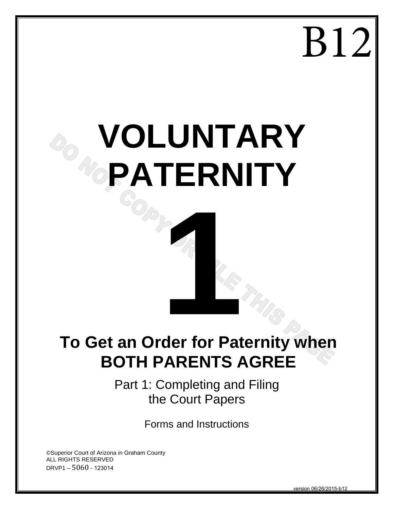## B12

# **VOLUNTARY PATERNITY**

# **To Get an Order for Paternity when 1999 BOTH PARENTS AGREE**

Part 1: Completing and Filing the Court Papers

Forms and Instructions

©Superior Court of Arizona in Graham County ALL RIGHTS RESERVED DRVP1 – 5060 - 123014

version 06/26/2015-b12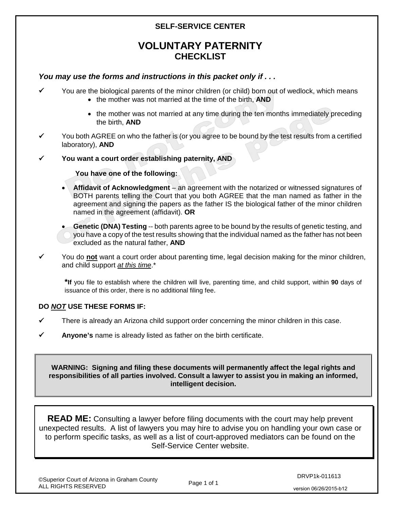### **SELF-SERVICE CENTER**

## **VOLUNTARY PATERNITY CHECKLIST**

### *You may use the forms and instructions in this packet only if . . .*

- You are the biological parents of the minor children (or child) born out of wedlock, which means • the mother was not married at the time of the birth, **AND**
	-
	- the mother was not married at any time during the ten months immediately preceding the birth, **AND**
- You both AGREE on who the father is (or you agree to be bound by the test results from a certified laboratory), **AND**
- **You want a court order establishing paternity, AND**

**You have one of the following:**

• **Affidavit of Acknowledgment** – an agreement with the notarized or witnessed signatures of BOTH parents telling the Court that you both AGREE that the man named as father in the agreement and signing the papers as the father IS the biological father of the minor children named in the agreement (affidavit). **OR**

• **Genetic (DNA) Testing** -- both parents agree to be bound by the results of genetic testing, and you have a copy of the test results showing that the individual named as the father has not been excluded as the natural father, **AND**

 You do **not** want a court order about parenting time, legal decision making for the minor children, and child support *at this time*.\*

**\*If** you file to establish where the children will live, parenting time, and child support, within **90** days of issuance of this order, there is no additional filing fee.

### **DO** *NOT* **USE THESE FORMS IF:**

- $\checkmark$  There is already an Arizona child support order concerning the minor children in this case.
- **Anyone's** name is already listed as father on the birth certificate.

**WARNING: Signing and filing these documents will permanently affect the legal rights and responsibilities of all parties involved. Consult a lawyer to assist you in making an informed, intelligent decision.**

**READ ME:** Consulting a lawyer before filing documents with the court may help prevent unexpected results. A list of lawyers you may hire to advise you on handling your own case or to perform specific tasks, as well as a list of court-approved mediators can be found on the Self-Service Center website.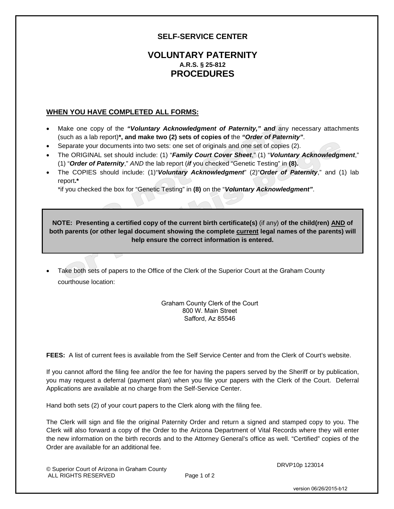### **SELF-SERVICE CENTER**

### **VOLUNTARY PATERNITY A.R.S. § 25-812 PROCEDURES**

### **WHEN YOU HAVE COMPLETED ALL FORMS:**

- Make one copy of the *"Voluntary Acknowledgment of Paternity," and* any necessary attachments (such as a lab report)**\*, and make two (2) sets of copies of** the *"Order of Paternity"*.
- Separate your documents into two sets: one set of originals and one set of copies (2).
- The ORIGINAL set should include: (1) "*Family Court Cover Sheet*," (1) "*Voluntary Acknowledgment*," (1) "*Order of Paternity*," *AND* the lab report (*if* you checked "Genetic Testing" in **(8).**
- The COPIES should include: (1)"*Voluntary Acknowledgment*" (2)"*Order of Paternity*," and (1) lab report**.\***

\*if you checked the box for "Genetic Testing" in **(8)** on the "*Voluntary Acknowledgment"*.

**NOTE: Presenting a certified copy of the current birth certificate(s)** (if any) **of the child(ren) AND of both parents (or other legal document showing the complete current legal names of the parents) will help ensure the correct information is entered.**

Take both sets of papers to the Office of the Clerk of the Superior Court at the Graham County courthouse location:

> Graham County Clerk of the Court 800 W. Main Street Safford, Az 85546

**FEES:** A list of current fees is available from the Self Service Center and from the Clerk of Court's website.

If you cannot afford the filing fee and/or the fee for having the papers served by the Sheriff or by publication, you may request a deferral (payment plan) when you file your papers with the Clerk of the Court. Deferral Applications are available at no charge from the Self-Service Center.

Hand both sets (2) of your court papers to the Clerk along with the filing fee.

The Clerk will sign and file the original Paternity Order and return a signed and stamped copy to you. The Clerk will also forward a copy of the Order to the Arizona Department of Vital Records where they will enter the new information on the birth records and to the Attorney General's office as well. "Certified" copies of the Order are available for an additional fee.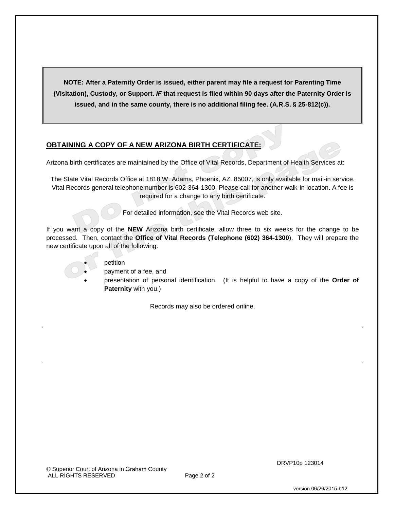**NOTE: After a Paternity Order is issued, either parent may file a request for Parenting Time (Visitation), Custody, or Support.** *IF* **that request is filed within 90 days after the Paternity Order is issued, and in the same county, there is no additional filing fee. (A.R.S. § 25-812(c)).** 

### **OBTAINING A COPY OF A NEW ARIZONA BIRTH CERTIFICATE:**

Arizona birth certificates are maintained by the Office of Vital Records, Department of Health Services at:

The State Vital Records Office at 1818 W. Adams, Phoenix, AZ. 85007, is only available for mail-in service. Vital Records general telephone number is 602-364-1300. Please call for another walk-in location. A fee is required for a change to any birth certificate.

For detailed information, see the Vital Records web site.

If you want a copy of the **NEW** Arizona birth certificate, allow three to six weeks for the change to be processed. Then, contact the **Office of Vital Records (Telephone (602) 364-1300**). They will prepare the new certificate upon all of the following:

- 
- petition
	- payment of a fee, and
	- presentation of personal identification. (It is helpful to have a copy of the **Order of Paternity** with you.)

Records may also be ordered online.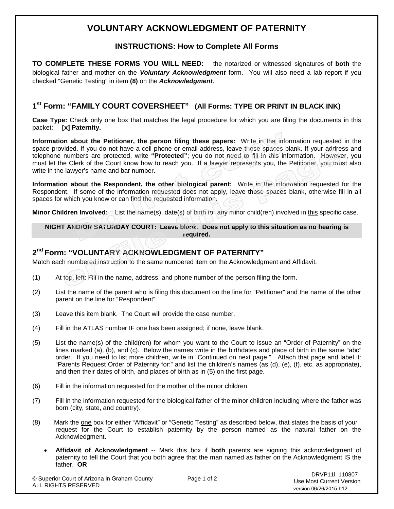## **VOLUNTARY ACKNOWLEDGMENT OF PATERNITY**

### **INSTRUCTIONS: How to Complete All Forms**

**TO COMPLETE THESE FORMS YOU WILL NEED:** the notarized or witnessed signatures of **both** the biological father and mother on the *Voluntary Acknowledgment* form. You will also need a lab report if you checked "Genetic Testing" in item **(8)** on the *Acknowledgment*.

### **1st Form: "FAMILY COURT COVERSHEET" (All Forms: TYPE OR PRINT IN BLACK INK)**

**Case Type:** Check only one box that matches the legal procedure for which you are filing the documents in this packet: **[x] Paternity.**

**Information about the Petitioner, the person filing these papers:** Write in the information requested in the space provided. If you do not have a cell phone or email address, leave those spaces blank. If your address and telephone numbers are protected, write **"Protected"**; you do not need to fill in this information. However, you must let the Clerk of the Court know how to reach you. If a lawyer represents you, the Petitioner, you must also write in the lawyer's name and bar number.

**Information about the Respondent, the other biological parent:** Write in the information requested for the Respondent. If some of the information requested does not apply, leave those spaces blank, otherwise fill in all spaces for which you know or can find the requested information.

**Minor Children Involved:** List the name(s), date(s) of birth for any minor child(ren) involved in this specific case.

**NIGHT AND/OR SATURDAY COURT: Leave blank. Does not apply to this situation as no hearing is required.**

### **2nd Form: "VOLUNTARY ACKNOWLEDGMENT OF PATERNITY"**

Match each numbered instruction to the same numbered item on the Acknowledgment and Affidavit.

- (1) At top, left: Fill in the name, address, and phone number of the person filing the form.
- (2) List the name of the parent who is filing this document on the line for "Petitioner" and the name of the other parent on the line for "Respondent".
- (3) Leave this item blank. The Court will provide the case number.
- (4) Fill in the ATLAS number IF one has been assigned; if none, leave blank.
- (5) List the name(s) of the child(ren) for whom you want to the Court to issue an "Order of Paternity" on the lines marked (a), (b), and (c). Below the names write in the birthdates and place of birth in the same "abc" order. If you need to list more children, write in "Continued on next page." Attach that page and label it: "Parents Request Order of Paternity for:" and list the children's names (as (d), (e), (f). etc. as appropriate), and then their dates of birth, and places of birth as in (5) on the first page.
- (6) Fill in the information requested for the mother of the minor children.
- (7) Fill in the information requested for the biological father of the minor children including where the father was born (city, state, and country).
- (8) Mark the one box for either "Affidavit" or "Genetic Testing" as described below, that states the basis of your request for the Court to establish paternity by the person named as the natural father on the Acknowledgment.
	- **Affidavit of Acknowledgment** -- Mark this box if **both** parents are signing this acknowledgment of paternity to tell the Court that you both agree that the man named as father on the Acknowledgment IS the father, **OR**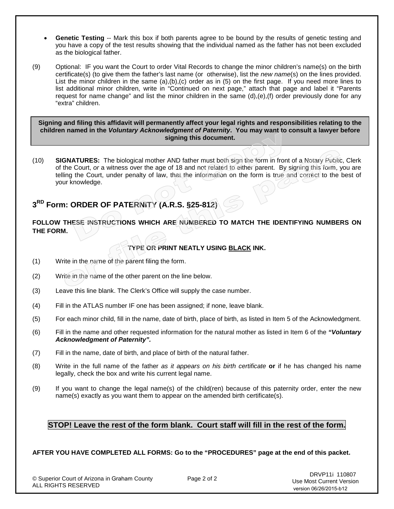- **Genetic Testing** -- Mark this box if both parents agree to be bound by the results of genetic testing and you have a copy of the test results showing that the individual named as the father has not been excluded as the biological father.
- (9) Optional: IF you want the Court to order Vital Records to change the minor children's name(s) on the birth certificate(s) (to give them the father's last name (or otherwise), list the *new name*(s) on the lines provided. List the minor children in the same (a),(b),(c) order as in (5) on the first page. If you need more lines to list additional minor children, write in "Continued on next page," attach that page and label it "Parents request for name change" and list the minor children in the same (d),(e),(f) order previously done for any "extra" children.

**Signing and filing this affidavit will permanently affect your legal rights and responsibilities relating to the children named in the** *Voluntary Acknowledgment of Paternity***. You may want to consult a lawyer before signing this document.**

(10) **SIGNATURES:** The biological mother AND father must both sign the form in front of a Notary Public, Clerk of the Court, *or* a witness over the age of 18 and not related to either parent. By signing this form, you are telling the Court, under penalty of law, that the information on the form is true and correct to the best of your knowledge.

### **3RD Form: ORDER OF PATERNITY (A.R.S. §25-812)**

### **FOLLOW THESE INSTRUCTIONS WHICH ARE NUMBERED TO MATCH THE IDENTIFYING NUMBERS ON THE FORM.**

### **TYPE OR PRINT NEATLY USING BLACK INK.**

- (1) Write in the name of the parent filing the form.
- (2) Write in the name of the other parent on the line below.
- (3) Leave this line blank. The Clerk's Office will supply the case number.
- (4) Fill in the ATLAS number IF one has been assigned; if none, leave blank.
- (5) For each minor child, fill in the name, date of birth, place of birth, as listed in Item 5 of the Acknowledgment.
- (6) Fill in the name and other requested information for the natural mother as listed in Item 6 of the *"Voluntary Acknowledgment of Paternity".*
- (7) Fill in the name, date of birth, and place of birth of the natural father.
- (8) Write in the full name of the father *as it appears on his birth certificate* **or** if he has changed his name legally, check the box and write his current legal name.
- (9) If you want to change the legal name(s) of the child(ren) because of this paternity order, enter the new name(s) exactly as you want them to appear on the amended birth certificate(s).

### **STOP! Leave the rest of the form blank. Court staff will fill in the rest of the form.**

### **AFTER YOU HAVE COMPLETED ALL FORMS: Go to the "PROCEDURES" page at the end of this packet.**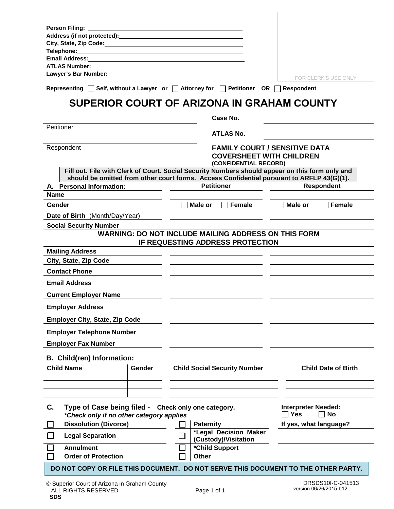| <b>Person Filing:</b>                                                                                                                                                                                                                                                                            |                                                                                                                |                            |
|--------------------------------------------------------------------------------------------------------------------------------------------------------------------------------------------------------------------------------------------------------------------------------------------------|----------------------------------------------------------------------------------------------------------------|----------------------------|
|                                                                                                                                                                                                                                                                                                  |                                                                                                                |                            |
| City, State, Zip Code: Name of State Assembly State, 2014<br><b>Telephone:</b> with a state of the state of the state of the state of the state of the state of the state of the state of the state of the state of the state of the state of the state of the state of the state of the state o |                                                                                                                |                            |
| Email Address: The Contract of Terms and Terms and Terms and Terms and Terms and Terms and Terms and                                                                                                                                                                                             |                                                                                                                |                            |
| <b>ATLAS Number:</b>                                                                                                                                                                                                                                                                             |                                                                                                                |                            |
| Lawyer's Bar Number: Wallet the Search State of the Search State of the Search State of the Search State of the                                                                                                                                                                                  |                                                                                                                | FOR CLERK'S USE ONLY       |
|                                                                                                                                                                                                                                                                                                  |                                                                                                                |                            |
| Representing $\Box$ Self, without a Lawyer or $\Box$ Attorney for $\Box$ Petitioner OR $\Box$ Respondent                                                                                                                                                                                         |                                                                                                                |                            |
|                                                                                                                                                                                                                                                                                                  | SUPERIOR COURT OF ARIZONA IN GRAHAM COUNTY                                                                     |                            |
| Petitioner                                                                                                                                                                                                                                                                                       | Case No.                                                                                                       |                            |
|                                                                                                                                                                                                                                                                                                  | <b>ATLAS No.</b>                                                                                               |                            |
| Respondent                                                                                                                                                                                                                                                                                       | <b>FAMILY COURT / SENSITIVE DATA</b>                                                                           |                            |
|                                                                                                                                                                                                                                                                                                  | <b>COVERSHEET WITH CHILDREN</b>                                                                                |                            |
|                                                                                                                                                                                                                                                                                                  | (CONFIDENTIAL RECORD)                                                                                          |                            |
|                                                                                                                                                                                                                                                                                                  | Fill out. File with Clerk of Court. Social Security Numbers should appear on this form only and                |                            |
| A. Personal Information:                                                                                                                                                                                                                                                                         | should be omitted from other court forms. Access Confidential pursuant to ARFLP 43(G)(1).<br><b>Petitioner</b> | <b>Respondent</b>          |
| Name                                                                                                                                                                                                                                                                                             |                                                                                                                |                            |
| Gender                                                                                                                                                                                                                                                                                           | Male or<br>Female                                                                                              | Female<br>Male or          |
|                                                                                                                                                                                                                                                                                                  |                                                                                                                |                            |
| Date of Birth (Month/Day/Year)                                                                                                                                                                                                                                                                   |                                                                                                                |                            |
| <b>Social Security Number</b>                                                                                                                                                                                                                                                                    | <b>WARNING: DO NOT INCLUDE MAILING ADDRESS ON THIS FORM</b>                                                    |                            |
|                                                                                                                                                                                                                                                                                                  | IF REQUESTING ADDRESS PROTECTION                                                                               |                            |
| <b>Mailing Address</b>                                                                                                                                                                                                                                                                           |                                                                                                                |                            |
| City, State, Zip Code                                                                                                                                                                                                                                                                            |                                                                                                                |                            |
| <b>Contact Phone</b>                                                                                                                                                                                                                                                                             |                                                                                                                |                            |
| <b>Email Address</b>                                                                                                                                                                                                                                                                             |                                                                                                                |                            |
| <b>Current Employer Name</b>                                                                                                                                                                                                                                                                     |                                                                                                                |                            |
| <b>Employer Address</b>                                                                                                                                                                                                                                                                          |                                                                                                                |                            |
| <b>Employer City, State, Zip Code</b>                                                                                                                                                                                                                                                            |                                                                                                                |                            |
| <b>Employer Telephone Number</b>                                                                                                                                                                                                                                                                 |                                                                                                                |                            |
| <b>Employer Fax Number</b>                                                                                                                                                                                                                                                                       |                                                                                                                |                            |
| <b>B. Child(ren) Information:</b>                                                                                                                                                                                                                                                                |                                                                                                                |                            |
| <b>Child Name</b><br>Gender                                                                                                                                                                                                                                                                      | <b>Child Social Security Number</b>                                                                            | <b>Child Date of Birth</b> |
|                                                                                                                                                                                                                                                                                                  |                                                                                                                |                            |
|                                                                                                                                                                                                                                                                                                  |                                                                                                                |                            |
| C.<br>Type of Case being filed - Check only one category.                                                                                                                                                                                                                                        |                                                                                                                | <b>Interpreter Needed:</b> |
| *Check only if no other category applies                                                                                                                                                                                                                                                         |                                                                                                                | <b>No</b><br><b>Yes</b>    |
| <b>Dissolution (Divorce)</b>                                                                                                                                                                                                                                                                     | <b>Paternity</b><br>*Legal Decision Maker                                                                      | If yes, what language?     |
| <b>Legal Separation</b>                                                                                                                                                                                                                                                                          | (Custody)/Visitation                                                                                           |                            |
| <b>Annulment</b>                                                                                                                                                                                                                                                                                 | *Child Support                                                                                                 |                            |
| <b>Order of Protection</b>                                                                                                                                                                                                                                                                       | <b>Other</b>                                                                                                   |                            |
| DO NOT COPY OR FILE THIS DOCUMENT. DO NOT SERVE THIS DOCUMENT TO THE OTHER PARTY.                                                                                                                                                                                                                |                                                                                                                |                            |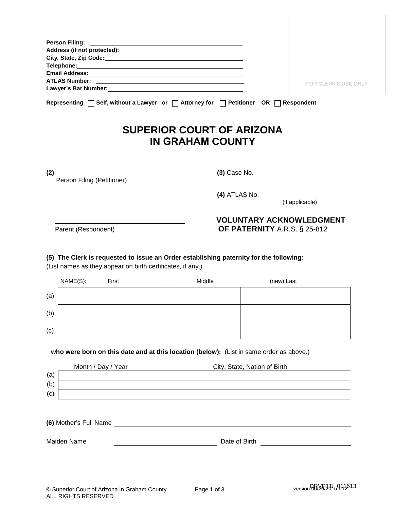| Person Filing: New York Changes and The Person Filing:                                                   |                      |
|----------------------------------------------------------------------------------------------------------|----------------------|
|                                                                                                          |                      |
|                                                                                                          |                      |
|                                                                                                          |                      |
|                                                                                                          |                      |
|                                                                                                          | FOR CLERK'S USE ONLY |
|                                                                                                          |                      |
| Representing $\Box$ Self, without a Lawyer or $\Box$ Attorney for $\Box$ Petitioner OR $\Box$ Respondent |                      |
| <b>SUPERIOR COURT OF ARIZONA</b><br><b>IN GRAHAM COUNTY</b>                                              |                      |
|                                                                                                          |                      |

Person Filing (Petitioner)

**(2) (3)** Case No.

**(4)** ATLAS No.

(if applicable)

### **VOLUNTARY ACKNOWLEDGMENT** Parent (Respondent) **OF PATERNITY** A.R.S. § 25-812

**(5) The Clerk is requested to issue an Order establishing paternity for the following**:

(List names as they appear on birth certificates, if any.)

|     | NAME(S): | First | Middle | (new) Last |
|-----|----------|-------|--------|------------|
| (a) |          |       |        |            |
| (b) |          |       |        |            |
| (c) |          |       |        |            |

**who were born on this date and at this location (below):** (List in same order as above.)

|     | Month / Day / Year | City, State, Nation of Birth |
|-----|--------------------|------------------------------|
| (a) |                    |                              |
| (b) |                    |                              |
| (c) |                    |                              |

**(6)** Mother's Full Name

Maiden Name **Date of Birth** Date of Birth **Date of Birth**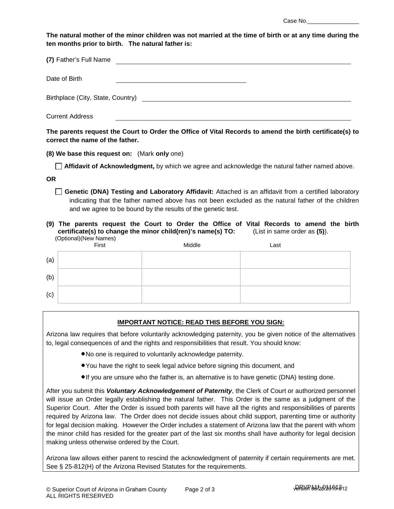Case No.

**The natural mother of the minor children was not married at the time of birth or at any time during the ten months prior to birth. The natural father is:** 

| (7) Father's Full Name            |
|-----------------------------------|
| Date of Birth                     |
| Birthplace (City, State, Country) |
| <b>Current Address</b>            |

**The parents request the Court to Order the Office of Vital Records to amend the birth certificate(s) to correct the name of the father.**

**(8) We base this request on:** (Mark **only** one)

**Affidavit of Acknowledgment,** by which we agree and acknowledge the natural father named above.

**OR**

**Genetic (DNA) Testing and Laboratory Affidavit:** Attached is an affidavit from a certified laboratory indicating that the father named above has not been excluded as the natural father of the children and we agree to be bound by the results of the genetic test.

### **(9) The parents request the Court to Order the Office of Vital Records to amend the birth certificate(s) to change the minor child(ren)'s name(s) TO:** (List in same order as **(5)**). (Optional)(New Names)

|     | Copuoriary (ivew ivalities) | Middle | Last |
|-----|-----------------------------|--------|------|
| (a) |                             |        |      |
| (b) |                             |        |      |
| (c) |                             |        |      |

### **IMPORTANT NOTICE: READ THIS BEFORE YOU SIGN:**

Arizona law requires that before voluntarily acknowledging paternity, you be given notice of the alternatives to, legal consequences of and the rights and responsibilities that result. You should know:

- •No one is required to voluntarily acknowledge paternity.
- •You have the right to seek legal advice before signing this document, and
- •If you are unsure who the father is, an alternative is to have genetic (DNA) testing done.

After you submit this *Voluntary Acknowledgement of Paternity*, the Clerk of Court or authorized personnel will issue an Order legally establishing the natural father. This Order is the same as a judgment of the Superior Court. After the Order is issued both parents will have all the rights and responsibilities of parents required by Arizona law. The Order does not decide issues about child support, parenting time or authority for legal decision making. However the Order includes a statement of Arizona law that the parent with whom the minor child has resided for the greater part of the last six months shall have authority for legal decision making unless otherwise ordered by the Court.

Arizona law allows either parent to rescind the acknowledgment of paternity if certain requirements are met. See § 25-812(H) of the Arizona Revised Statutes for the requirements.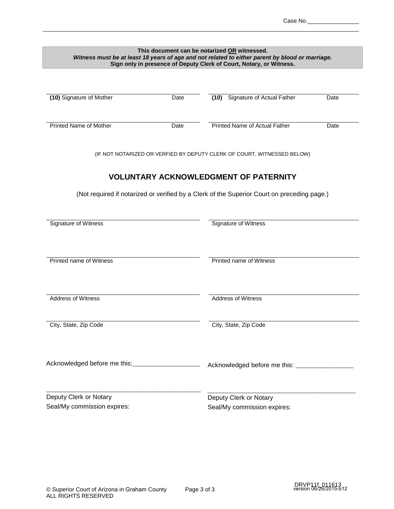| This document can be notarized OR witnessed.<br>Witness must be at least 18 years of age and not related to either parent by blood or marriage.<br>Sign only in presence of Deputy Clerk of Court, Notary, or Witness. |                                                       |                                                                                                                         |      |  |  |  |
|------------------------------------------------------------------------------------------------------------------------------------------------------------------------------------------------------------------------|-------------------------------------------------------|-------------------------------------------------------------------------------------------------------------------------|------|--|--|--|
| (10) Signature of Mother                                                                                                                                                                                               | Date                                                  | Signature of Actual Father<br>(10)                                                                                      | Date |  |  |  |
| Printed Name of Mother                                                                                                                                                                                                 | Date                                                  | Printed Name of Actual Father                                                                                           | Date |  |  |  |
|                                                                                                                                                                                                                        |                                                       | (IF NOT NOTARIZED OR VERFIED BY DEPUTY CLERK OF COURT, WITNESSED BELOW)<br><b>VOLUNTARY ACKNOWLEDGMENT OF PATERNITY</b> |      |  |  |  |
| Signature of Witness                                                                                                                                                                                                   |                                                       | (Not required if notarized or verified by a Clerk of the Superior Court on preceding page.)<br>Signature of Witness     |      |  |  |  |
| <b>Printed name of Witness</b><br>Printed name of Witness                                                                                                                                                              |                                                       |                                                                                                                         |      |  |  |  |
| <b>Address of Witness</b>                                                                                                                                                                                              |                                                       | <b>Address of Witness</b>                                                                                               |      |  |  |  |
| City, State, Zip Code                                                                                                                                                                                                  | City, State, Zip Code                                 |                                                                                                                         |      |  |  |  |
| Acknowledged before me this: _________________________                                                                                                                                                                 |                                                       | Acknowledged before me this: ________________                                                                           |      |  |  |  |
| Deputy Clerk or Notary<br>Seal/My commission expires:                                                                                                                                                                  | Deputy Clerk or Notary<br>Seal/My commission expires: |                                                                                                                         |      |  |  |  |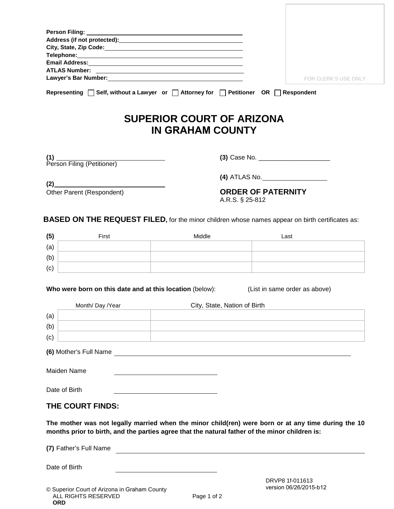|     | Lawyer's Bar Number: Management Communication of the United States and District Communications and District Co                                                                                        |                                                                                                                       |                                              | FOR CLERK'S USE ONLY                      |
|-----|-------------------------------------------------------------------------------------------------------------------------------------------------------------------------------------------------------|-----------------------------------------------------------------------------------------------------------------------|----------------------------------------------|-------------------------------------------|
|     | Representing $\Box$ Self, without a Lawyer or $\Box$ Attorney for $\Box$ Petitioner OR $\Box$ Respondent                                                                                              |                                                                                                                       |                                              |                                           |
|     |                                                                                                                                                                                                       | <b>SUPERIOR COURT OF ARIZONA</b><br><b>IN GRAHAM COUNTY</b>                                                           |                                              |                                           |
|     |                                                                                                                                                                                                       |                                                                                                                       |                                              |                                           |
|     | (2)                                                                                                                                                                                                   |                                                                                                                       | (4) ATLAS No. _____________________          |                                           |
|     | Other Parent (Respondent)                                                                                                                                                                             |                                                                                                                       | <b>ORDER OF PATERNITY</b><br>A.R.S. § 25-812 |                                           |
|     | <b>BASED ON THE REQUEST FILED, for the minor children whose names appear on birth certificates as:</b>                                                                                                |                                                                                                                       |                                              |                                           |
| (5) | First                                                                                                                                                                                                 | Middle                                                                                                                |                                              | Last                                      |
| (a) |                                                                                                                                                                                                       | the control of the control of the control of the control of the control of the control of                             |                                              |                                           |
| (b) |                                                                                                                                                                                                       | the control of the control of the control of the control of the control of                                            |                                              |                                           |
| (c) |                                                                                                                                                                                                       |                                                                                                                       |                                              |                                           |
|     | Who were born on this date and at this location (below): (List in same order as above)                                                                                                                |                                                                                                                       |                                              |                                           |
|     | Month/ Day /Year                                                                                                                                                                                      |                                                                                                                       | City, State, Nation of Birth                 |                                           |
| (a) |                                                                                                                                                                                                       | the control of the control of the control of the control of the control of                                            |                                              |                                           |
| (b) |                                                                                                                                                                                                       |                                                                                                                       |                                              |                                           |
| (c) |                                                                                                                                                                                                       |                                                                                                                       |                                              |                                           |
|     |                                                                                                                                                                                                       |                                                                                                                       |                                              |                                           |
|     | <b>Maiden Name</b>                                                                                                                                                                                    | <u> 1989 - Johann Barbara, martin amerikan basar dan basa dan basa dan basa dalam basa dalam basa dalam basa dala</u> |                                              |                                           |
|     | Date of Birth                                                                                                                                                                                         |                                                                                                                       |                                              |                                           |
|     | THE COURT FINDS:                                                                                                                                                                                      |                                                                                                                       |                                              |                                           |
|     | The mother was not legally married when the minor child(ren) were born or at any time during the 10<br>months prior to birth, and the parties agree that the natural father of the minor children is: |                                                                                                                       |                                              |                                           |
|     | (7) Father's Full Name                                                                                                                                                                                |                                                                                                                       |                                              |                                           |
|     | Date of Birth                                                                                                                                                                                         |                                                                                                                       |                                              |                                           |
|     |                                                                                                                                                                                                       |                                                                                                                       |                                              | DRVP8 1f-011613<br>version 06/26/2015-b12 |
|     | © Superior Court of Arizona in Graham County<br>ALL RIGHTS RESERVED<br><b>ORD</b>                                                                                                                     | Page 1 of 2                                                                                                           |                                              |                                           |